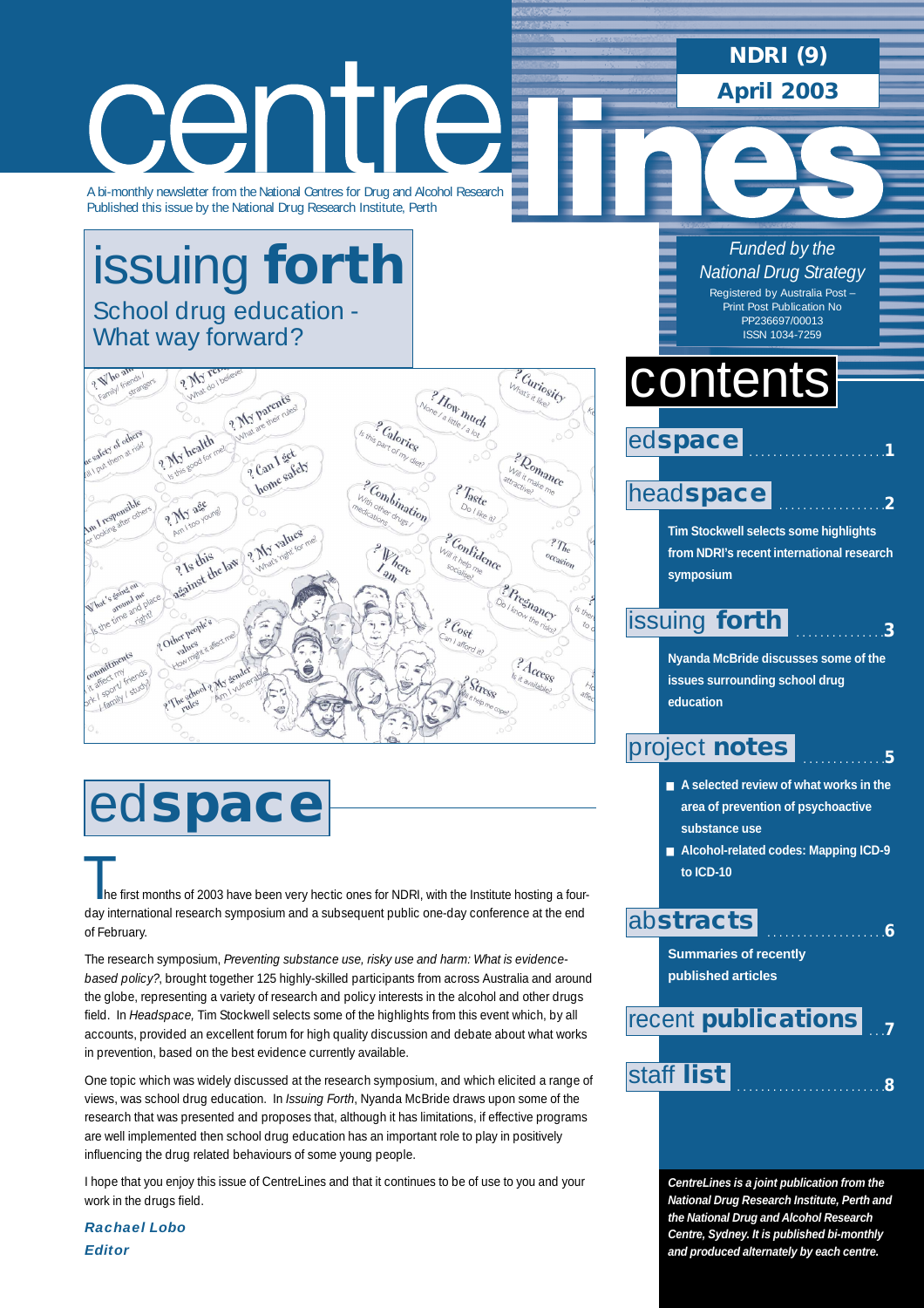## **NDRI (9)**

**April 2003**

# centre A bi-monthly newsletter from the National Centres for Drug and Alcohol Research

Published this issue by the National Drug Research Institute, Perth

## [issuing](#page-2-0) **forth** School drug education - What way forward?



# ed**space**

The first months of 2003 have been very hectic ones for NDRI, with the Institute hosting a four-<br>The first months of 2003 have been very hectic ones for NDRI, with the Institute hosting a fourday international research symposium and a subsequent public one-day conference at the end of February.

The research symposium, *Preventing substance use, risky use and harm: What is evidencebased policy?*, brought together 125 highly-skilled participants from across Australia and around the globe, representing a variety of research and policy interests in the alcohol and other drugs field. In *Headspace,* Tim Stockwell selects some of the highlights from this event which, by all accounts, provided an excellent forum for high quality discussion and debate about what works in prevention, based on the best evidence currently available.

One topic which was widely discussed at the research symposium, and which elicited a range of views, was school drug education. In *Issuing Forth*, Nyanda McBride draws upon some of the research that was presented and proposes that, although it has limitations, if effective programs are well implemented then school drug education has an important role to play in positively influencing the drug related behaviours of some young people.

I hope that you enjoy this issue of CentreLines and that it continues to be of use to you and your work in the drugs field.

*Rachael Lobo Editor*

*Funded by the National Drug Strategy* Registered by Australia Post –

Print Post Publication No PP236697/00013 ISSN 1034-7259

## contents

## ed**space**

### head**[space](#page-1-0)**

**Tim Stockwell selects some highlights from NDRI's recent international research symposium**

. . . . . . . . . . . . . . . . . . . . . . .**1**

. . . . . . . . . . . . . . . . . .**2**

. . . . . . . . . . . . . . .**3**

### [issuing](#page-2-0) **forth**

**Nyanda McBride discusses some of the issues surrounding school drug education** 

## [project](#page-4-0) **notes**

 . . . . . . . . . . . . . .**5** ■ A selected review of what works in the **area of prevention of psychoactive**

**substance use**

■ **Alcohol-related codes: Mapping ICD-9 to ICD-10**

## ab**[stracts](#page-5-0)**

. . . . . . . . . . . . . . . . . . . .**6**

**Summaries of recently published articles** 

### . . .**7** . . . . . . . . . . . . . . . . . . . . . . . . .**<sup>8</sup>** [staff](#page-7-0) **list** recent **[publications](#page-6-0)**

**CentreLines is a joint publication from the National Drug Research Institute, Perth and the National Drug and Alcohol Research Centre, Sydney. It is published bi-monthly and produced alternately by each centre.**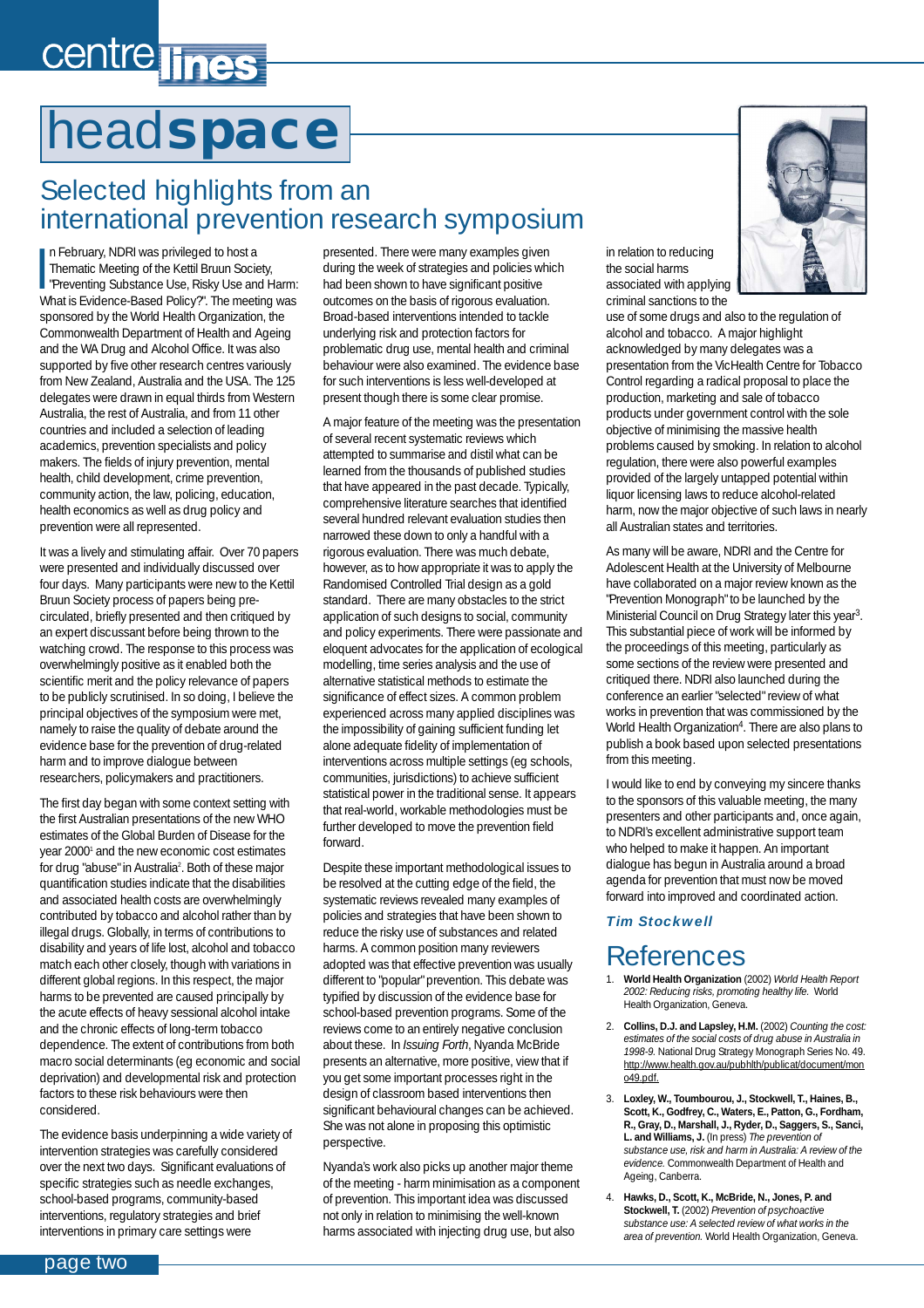# <span id="page-1-0"></span>centre lines

## head**space**

## Selected highlights from an international prevention research symposium

In February, NDRI was privileged to host a<br>Thematic Meeting of the Kettil Bruun Society,<br>"Preventing Substance Use, Risky Use and Harm:<br>"Mhat is Evidence Based Polio 2". The meeting was n February, NDRI was privileged to host a Thematic Meeting of the Kettil Bruun Society, What is Evidence-Based Policy?". The meeting was sponsored by the World Health Organization, the Commonwealth Department of Health and Ageing and the WA Drug and Alcohol Office. It was also supported by five other research centres variously from New Zealand, Australia and the USA. The 125 delegates were drawn in equal thirds from Western Australia, the rest of Australia, and from 11 other countries and included a selection of leading academics, prevention specialists and policy makers. The fields of injury prevention, mental health, child development, crime prevention, community action, the law, policing, education, health economics as well as drug policy and prevention were all represented.

It was a lively and stimulating affair. Over 70 papers were presented and individually discussed over four days. Many participants were new to the Kettil Bruun Society process of papers being precirculated, briefly presented and then critiqued by an expert discussant before being thrown to the watching crowd. The response to this process was overwhelmingly positive as it enabled both the scientific merit and the policy relevance of papers to be publicly scrutinised. In so doing, I believe the principal objectives of the symposium were met, namely to raise the quality of debate around the evidence base for the prevention of drug-related harm and to improve dialogue between researchers, policymakers and practitioners.

The first day began with some context setting with the first Australian presentations of the new WHO estimates of the Global Burden of Disease for the year 20001 and the new economic cost estimates for drug "abuse" in Australia<sup>2</sup>. Both of these major quantification studies indicate that the disabilities and associated health costs are overwhelmingly contributed by tobacco and alcohol rather than by illegal drugs. Globally, in terms of contributions to disability and years of life lost, alcohol and tobacco match each other closely, though with variations in different global regions. In this respect, the major harms to be prevented are caused principally by the acute effects of heavy sessional alcohol intake and the chronic effects of long-term tobacco dependence. The extent of contributions from both macro social determinants (eg economic and social deprivation) and developmental risk and protection factors to these risk behaviours were then considered.

The evidence basis underpinning a wide variety of intervention strategies was carefully considered over the next two days. Significant evaluations of specific strategies such as needle exchanges, school-based programs, community-based interventions, regulatory strategies and brief interventions in primary care settings were

presented. There were many examples given during the week of strategies and policies which had been shown to have significant positive outcomes on the basis of rigorous evaluation. Broad-based interventions intended to tackle underlying risk and protection factors for problematic drug use, mental health and criminal behaviour were also examined. The evidence base for such interventions is less well-developed at present though there is some clear promise.

A major feature of the meeting was the presentation of several recent systematic reviews which attempted to summarise and distil what can be learned from the thousands of published studies that have appeared in the past decade. Typically, comprehensive literature searches that identified several hundred relevant evaluation studies then narrowed these down to only a handful with a rigorous evaluation. There was much debate, however, as to how appropriate it was to apply the Randomised Controlled Trial design as a gold standard. There are many obstacles to the strict application of such designs to social, community and policy experiments. There were passionate and eloquent advocates for the application of ecological modelling, time series analysis and the use of alternative statistical methods to estimate the significance of effect sizes. A common problem experienced across many applied disciplines was the impossibility of gaining sufficient funding let alone adequate fidelity of implementation of interventions across multiple settings (eg schools, communities, jurisdictions) to achieve sufficient statistical power in the traditional sense. It appears that real-world, workable methodologies must be further developed to move the prevention field forward.

Despite these important methodological issues to be resolved at the cutting edge of the field, the systematic reviews revealed many examples of policies and strategies that have been shown to reduce the risky use of substances and related harms. A common position many reviewers adopted was that effective prevention was usually different to "popular" prevention. This debate was typified by discussion of the evidence base for school-based prevention programs. Some of the reviews come to an entirely negative conclusion about these. In *Issuing Forth*, Nyanda McBride presents an alternative, more positive, view that if you get some important processes right in the design of classroom based interventions then significant behavioural changes can be achieved. She was not alone in proposing this optimistic perspective.

Nyanda's work also picks up another major theme of the meeting - harm minimisation as a component of prevention. This important idea was discussed not only in relation to minimising the well-known harms associated with injecting drug use, but also

in relation to reducing the social harms associated with applying criminal sanctions to the

use of some drugs and also to the regulation of alcohol and tobacco. A major highlight acknowledged by many delegates was a presentation from the VicHealth Centre for Tobacco Control regarding a radical proposal to place the production, marketing and sale of tobacco products under government control with the sole objective of minimising the massive health problems caused by smoking. In relation to alcohol regulation, there were also powerful examples provided of the largely untapped potential within liquor licensing laws to reduce alcohol-related harm, now the major objective of such laws in nearly all Australian states and territories.

As many will be aware, NDRI and the Centre for Adolescent Health at the University of Melbourne have collaborated on a major review known as the "Prevention Monograph" to be launched by the Ministerial Council on Drug Strategy later this year3. This substantial piece of work will be informed by the proceedings of this meeting, particularly as some sections of the review were presented and critiqued there. NDRI also launched during the conference an earlier "selected" review of what works in prevention that was commissioned by the World Health Organization<sup>4</sup>. There are also plans to publish a book based upon selected presentations from this meeting.

I would like to end by conveying my sincere thanks to the sponsors of this valuable meeting, the many presenters and other participants and, once again, to NDRI's excellent administrative support team who helped to make it happen. An important dialogue has begun in Australia around a broad agenda for prevention that must now be moved forward into improved and coordinated action.

### *Tim Stockwell*

## References

- 1. **World Health Organization** (2002) *World Health Report 2002: Reducing risks, promoting healthy life.* World Health Organization, Geneva.
- 2. **Collins, D.J. and Lapsley, H.M.** (2002) *Counting the cost: estimates of the social costs of drug abuse in Australia in 1998-9.* National Drug Strategy Monograph Series No. 49. http://www.health.gov.au/pubhlth/publicat/document/mon  $049$  ndf
- 3. **Loxley, W., Toumbourou, J., Stockwell, T., Haines, B., Scott, K., Godfrey, C., Waters, E., Patton, G., Fordham, R., Gray, D., Marshall, J., Ryder, D., Saggers, S., Sanci, L. and Williams, J.** (In press) *The prevention of substance use, risk and harm in Australia: A review of the evidence.* Commonwealth Department of Health and Ageing, Canberra.
- 4. **Hawks, D., Scott, K., McBride, N., Jones, P. and Stockwell, T.** (2002) *Prevention of psychoactive substance use: A selected review of what works in the area of prevention.* World Health Organization, Geneva.

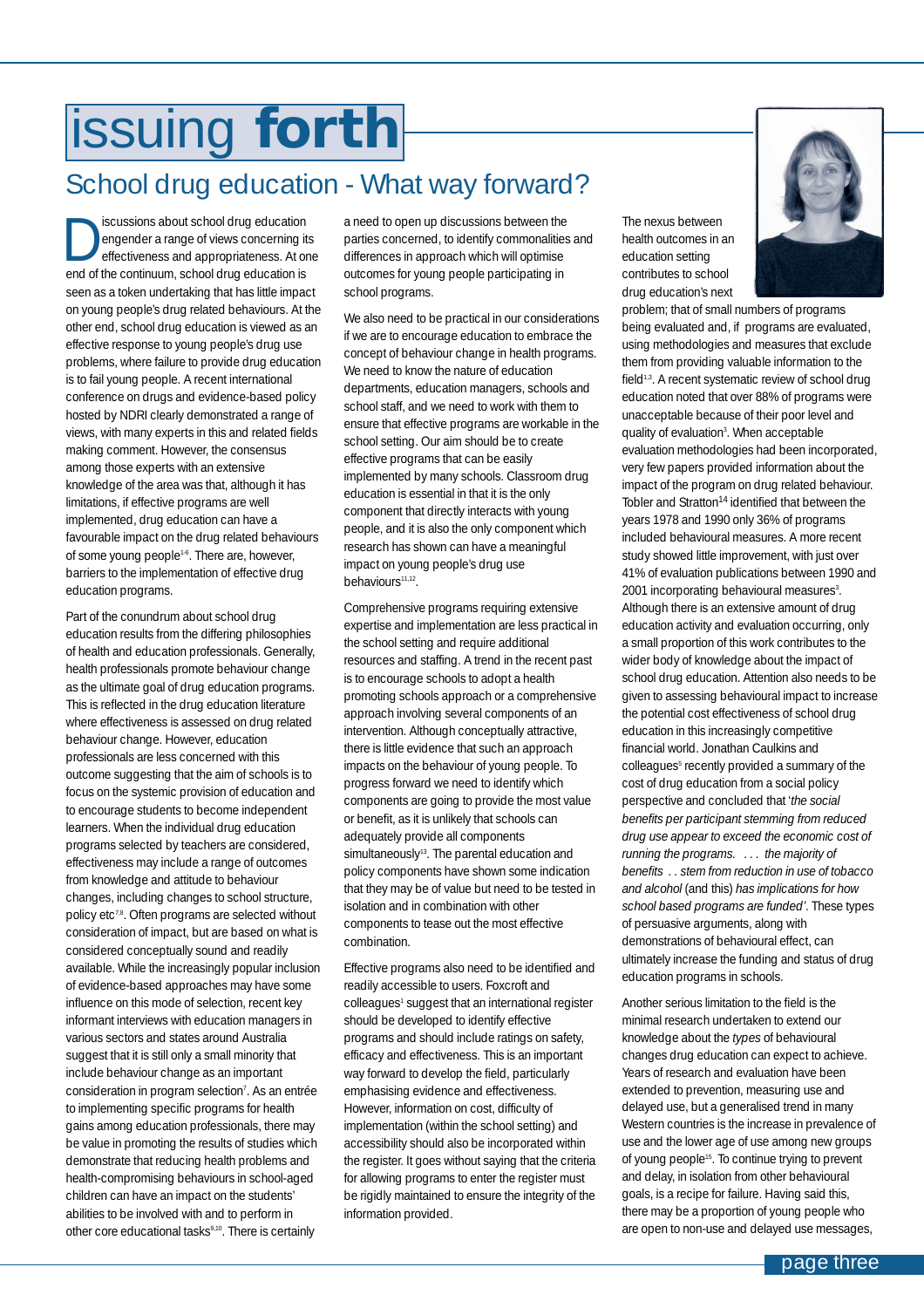# <span id="page-2-0"></span>issuing **forth**

## School drug education - What way forward?

Scussions about school drug education<br>
engender a range of views concerning if<br>
effectiveness and appropriateness. At o<br>
and of the continuum cabool drug education is engender a range of views concerning its effectiveness and appropriateness. At one end of the continuum, school drug education is seen as a token undertaking that has little impact on young people's drug related behaviours. At the other end, school drug education is viewed as an effective response to young people's drug use problems, where failure to provide drug education is to fail young people. A recent international conference on drugs and evidence-based policy hosted by NDRI clearly demonstrated a range of views, with many experts in this and related fields making comment. However, the consensus among those experts with an extensive knowledge of the area was that, although it has limitations, if effective programs are well implemented, drug education can have a favourable impact on the drug related behaviours of some young people<sup>1.6</sup>. There are, however, barriers to the implementation of effective drug education programs.

Part of the conundrum about school drug education results from the differing philosophies of health and education professionals. Generally, health professionals promote behaviour change as the ultimate goal of drug education programs. This is reflected in the drug education literature where effectiveness is assessed on drug related behaviour change. However, education professionals are less concerned with this outcome suggesting that the aim of schools is to focus on the systemic provision of education and to encourage students to become independent learners. When the individual drug education programs selected by teachers are considered, effectiveness may include a range of outcomes from knowledge and attitude to behaviour changes, including changes to school structure, policy etc<sup>7,8</sup>. Often programs are selected without consideration of impact, but are based on what is considered conceptually sound and readily available. While the increasingly popular inclusion of evidence-based approaches may have some influence on this mode of selection, recent key informant interviews with education managers in various sectors and states around Australia suggest that it is still only a small minority that include behaviour change as an important consideration in program selection<sup>7</sup>. As an entrée to implementing specific programs for health gains among education professionals, there may be value in promoting the results of studies which demonstrate that reducing health problems and health-compromising behaviours in school-aged children can have an impact on the students' abilities to be involved with and to perform in other core educational tasks<sup>9,10</sup>. There is certainly

a need to open up discussions between the parties concerned, to identify commonalities and differences in approach which will optimise outcomes for young people participating in school programs.

We also need to be practical in our considerations if we are to encourage education to embrace the concept of behaviour change in health programs. We need to know the nature of education departments, education managers, schools and school staff, and we need to work with them to ensure that effective programs are workable in the school setting. Our aim should be to create effective programs that can be easily implemented by many schools. Classroom drug education is essential in that it is the only component that directly interacts with young people, and it is also the only component which research has shown can have a meaningful impact on young people's drug use behaviours11,12.

Comprehensive programs requiring extensive expertise and implementation are less practical in the school setting and require additional resources and staffing. A trend in the recent past is to encourage schools to adopt a health promoting schools approach or a comprehensive approach involving several components of an intervention. Although conceptually attractive, there is little evidence that such an approach impacts on the behaviour of young people. To progress forward we need to identify which components are going to provide the most value or benefit, as it is unlikely that schools can adequately provide all components simultaneously<sup>13</sup>. The parental education and policy components have shown some indication that they may be of value but need to be tested in isolation and in combination with other components to tease out the most effective combination.

Effective programs also need to be identified and readily accessible to users. Foxcroft and colleagues<sup>1</sup> suggest that an international register should be developed to identify effective programs and should include ratings on safety, efficacy and effectiveness. This is an important way forward to develop the field, particularly emphasising evidence and effectiveness. However, information on cost, difficulty of implementation (within the school setting) and accessibility should also be incorporated within the register. It goes without saying that the criteria for allowing programs to enter the register must be rigidly maintained to ensure the integrity of the information provided.

The nexus between health outcomes in an education setting contributes to school drug education's next

problem; that of small numbers of programs being evaluated and, if programs are evaluated, using methodologies and measures that exclude them from providing valuable information to the field<sup>1,3</sup>. A recent systematic review of school drug education noted that over 88% of programs were unacceptable because of their poor level and quality of evaluation<sup>3</sup>. When acceptable evaluation methodologies had been incorporated, very few papers provided information about the impact of the program on drug related behaviour. Tobler and Stratton<sup>14</sup> identified that between the years 1978 and 1990 only 36% of programs included behavioural measures. A more recent study showed little improvement, with just over 41% of evaluation publications between 1990 and 2001 incorporating behavioural measures<sup>3</sup>. Although there is an extensive amount of drug education activity and evaluation occurring, only a small proportion of this work contributes to the wider body of knowledge about the impact of school drug education. Attention also needs to be given to assessing behavioural impact to increase the potential cost effectiveness of school drug education in this increasingly competitive financial world. Jonathan Caulkins and colleagues<sup>5</sup> recently provided a summary of the cost of drug education from a social policy perspective and concluded that '*the social benefits per participant stemming from reduced drug use appear to exceed the economic cost of running the programs. . . . the majority of benefits . . stem from reduction in use of tobacco and alcohol* (and this) *has implications for how school based programs are funded'*. These types of persuasive arguments, along with demonstrations of behavioural effect, can ultimately increase the funding and status of drug education programs in schools.

Another serious limitation to the field is the minimal research undertaken to extend our knowledge about the *types* of behavioural changes drug education can expect to achieve. Years of research and evaluation have been extended to prevention, measuring use and delayed use, but a generalised trend in many Western countries is the increase in prevalence of use and the lower age of use among new groups of young people<sup>15</sup>. To continue trying to prevent and delay, in isolation from other behavioural goals, is a recipe for failure. Having said this, there may be a proportion of young people who are open to non-use and delayed use messages,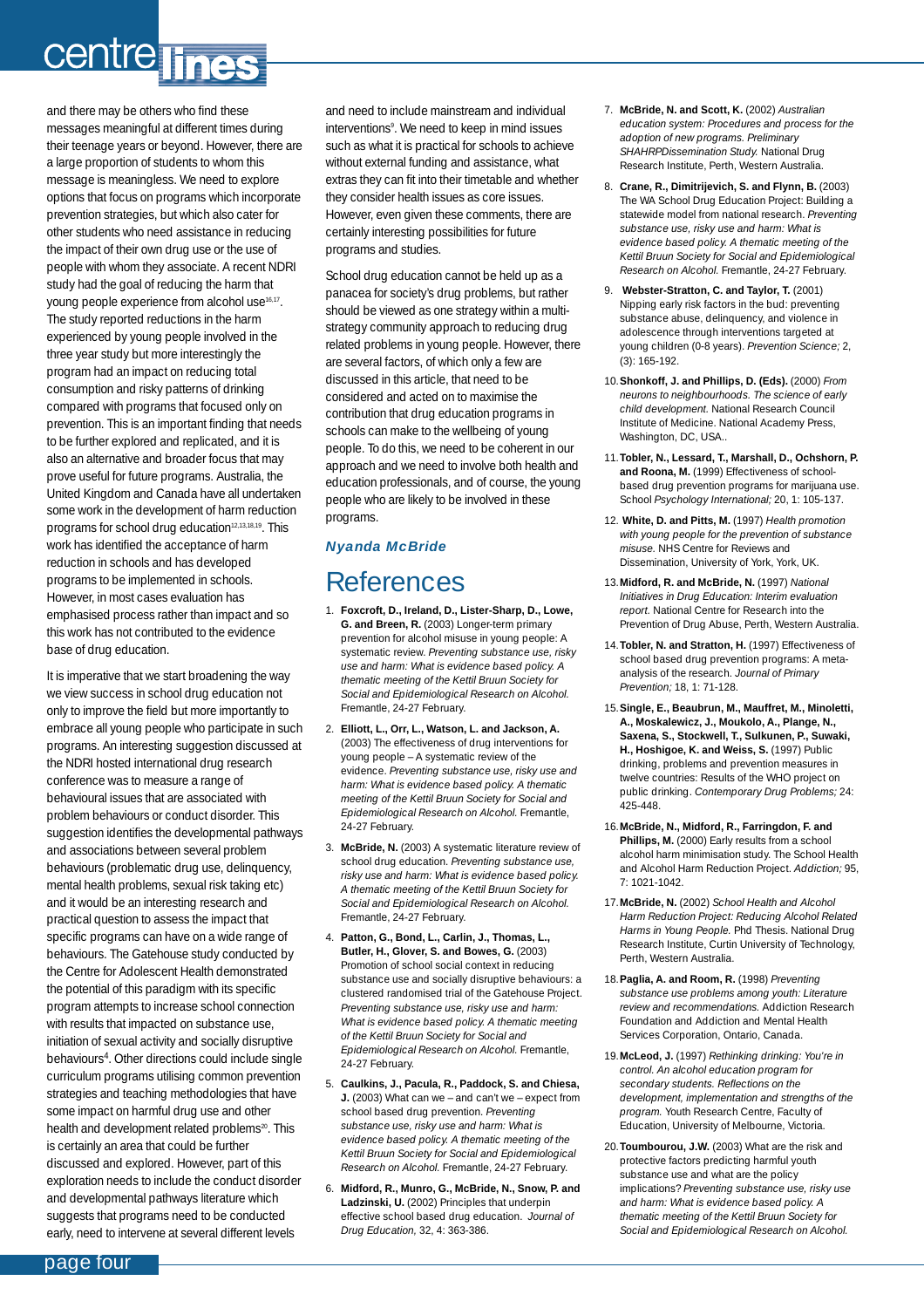# centre lines

and there may be others who find these messages meaningful at different times during their teenage years or beyond. However, there are a large proportion of students to whom this message is meaningless. We need to explore options that focus on programs which incorporate prevention strategies, but which also cater for other students who need assistance in reducing the impact of their own drug use or the use of people with whom they associate. A recent NDRI study had the goal of reducing the harm that young people experience from alcohol use<sup>16,17</sup>. The study reported reductions in the harm experienced by young people involved in the three year study but more interestingly the program had an impact on reducing total consumption and risky patterns of drinking compared with programs that focused only on prevention. This is an important finding that needs to be further explored and replicated, and it is also an alternative and broader focus that may prove useful for future programs. Australia, the United Kingdom and Canada have all undertaken some work in the development of harm reduction programs for school drug education<sup>12,13,18,19</sup>. This work has identified the acceptance of harm reduction in schools and has developed programs to be implemented in schools. However, in most cases evaluation has emphasised process rather than impact and so this work has not contributed to the evidence base of drug education.

It is imperative that we start broadening the way we view success in school drug education not only to improve the field but more importantly to embrace all young people who participate in such programs. An interesting suggestion discussed at the NDRI hosted international drug research conference was to measure a range of behavioural issues that are associated with problem behaviours or conduct disorder. This suggestion identifies the developmental pathways and associations between several problem behaviours (problematic drug use, delinquency, mental health problems, sexual risk taking etc) and it would be an interesting research and practical question to assess the impact that specific programs can have on a wide range of behaviours. The Gatehouse study conducted by the Centre for Adolescent Health demonstrated the potential of this paradigm with its specific program attempts to increase school connection with results that impacted on substance use, initiation of sexual activity and socially disruptive behaviours4. Other directions could include single curriculum programs utilising common prevention strategies and teaching methodologies that have some impact on harmful drug use and other health and development related problems<sup>20</sup>. This is certainly an area that could be further discussed and explored. However, part of this exploration needs to include the conduct disorder and developmental pathways literature which suggests that programs need to be conducted early, need to intervene at several different levels

and need to include mainstream and individual interventions9 . We need to keep in mind issues such as what it is practical for schools to achieve without external funding and assistance, what extras they can fit into their timetable and whether they consider health issues as core issues. However, even given these comments, there are certainly interesting possibilities for future programs and studies.

School drug education cannot be held up as a panacea for society's drug problems, but rather should be viewed as one strategy within a multistrategy community approach to reducing drug related problems in young people. However, there are several factors, of which only a few are discussed in this article, that need to be considered and acted on to maximise the contribution that drug education programs in schools can make to the wellbeing of young people. To do this, we need to be coherent in our approach and we need to involve both health and education professionals, and of course, the young people who are likely to be involved in these programs.

### *Nyanda McBride*

## References

- 1. **Foxcroft, D., Ireland, D., Lister-Sharp, D., Lowe, G. and Breen, R.** (2003) Longer-term primary prevention for alcohol misuse in young people: A systematic review. *Preventing substance use, risky use and harm: What is evidence based policy. A thematic meeting of the Kettil Bruun Society for Social and Epidemiological Research on Alcohol.* Fremantle, 24-27 February.
- 2. **Elliott, L., Orr, L., Watson, L. and Jackson, A.** (2003) The effectiveness of drug interventions for young people – A systematic review of the evidence. *Preventing substance use, risky use and harm: What is evidence based policy. A thematic meeting of the Kettil Bruun Society for Social and Epidemiological Research on Alcohol.* Fremantle, 24-27 February.
- 3. **McBride, N.** (2003) A systematic literature review of school drug education. *Preventing substance use, risky use and harm: What is evidence based policy. A thematic meeting of the Kettil Bruun Society for Social and Epidemiological Research on Alcohol.* Fremantle, 24-27 February.
- 4. **Patton, G., Bond, L., Carlin, J., Thomas, L., Butler, H., Glover, S. and Bowes, G.** (2003) Promotion of school social context in reducing substance use and socially disruptive behaviours: a clustered randomised trial of the Gatehouse Project. *Preventing substance use, risky use and harm: What is evidence based policy. A thematic meeting of the Kettil Bruun Society for Social and Epidemiological Research on Alcohol.* Fremantle, 24-27 February.
- 5. **Caulkins, J., Pacula, R., Paddock, S. and Chiesa, J.** (2003) What can we – and can't we – expect from school based drug prevention. *Preventing substance use, risky use and harm: What is evidence based policy. A thematic meeting of the Kettil Bruun Society for Social and Epidemiological Research on Alcohol.* Fremantle, 24-27 February.
- 6. **Midford, R., Munro, G., McBride, N., Snow, P. and Ladzinski, U.** (2002) Principles that underpin effective school based drug education. *Journal of Drug Education,* 32, 4: 363-386.
- 7. **McBride, N. and Scott, K.** (2002) *Australian education system: Procedures and process for the adoption of new programs. Preliminary SHAHRPDissemination Study.* National Drug Research Institute, Perth, Western Australia.
- 8. **Crane, R., Dimitrijevich, S. and Flynn, B.** (2003) The WA School Drug Education Project: Building a statewide model from national research. *Preventing substance use, risky use and harm: What is evidence based policy. A thematic meeting of the Kettil Bruun Society for Social and Epidemiological Research on Alcohol.* Fremantle, 24-27 February.
- 9. **Webster-Stratton, C. and Taylor, T.** (2001) Nipping early risk factors in the bud: preventing substance abuse, delinquency, and violence in adolescence through interventions targeted at young children (0-8 years). *Prevention Science;* 2, (3): 165-192.
- 10.**Shonkoff, J. and Phillips, D. (Eds).** (2000) *From neurons to neighbourhoods. The science of early child development.* National Research Council Institute of Medicine. National Academy Press, Washington, DC, USA..
- 11.**Tobler, N., Lessard, T., Marshall, D., Ochshorn, P. and Roona, M.** (1999) Effectiveness of schoolbased drug prevention programs for marijuana use. School *Psychology International;* 20, 1: 105-137.
- 12. **White, D. and Pitts, M.** (1997) *Health promotion with young people for the prevention of substance misuse.* NHS Centre for Reviews and Dissemination, University of York, York, UK.
- 13.**Midford, R. and McBride, N.** (1997) *National Initiatives in Drug Education: Interim evaluation report.* National Centre for Research into the Prevention of Drug Abuse, Perth, Western Australia.
- 14.**Tobler, N. and Stratton, H.** (1997) Effectiveness of school based drug prevention programs: A metaanalysis of the research. *Journal of Primary Prevention;* 18, 1: 71-128.
- 15.**Single, E., Beaubrun, M., Mauffret, M., Minoletti, A., Moskalewicz, J., Moukolo, A., Plange, N., Saxena, S., Stockwell, T., Sulkunen, P., Suwaki,** H., Hoshigoe, K. and Weiss, S. (1997) Public drinking, problems and prevention measures in twelve countries: Results of the WHO project on public drinking. *Contemporary Drug Problems;* 24: 425-448.
- 16.**McBride, N., Midford, R., Farringdon, F. and** Phillips, M. (2000) Early results from a school alcohol harm minimisation study. The School Health and Alcohol Harm Reduction Project. *Addiction;* 95, 7: 1021-1042.
- 17.**McBride, N.** (2002) *School Health and Alcohol Harm Reduction Project: Reducing Alcohol Related Harms in Young People.* Phd Thesis. National Drug Research Institute, Curtin University of Technology, Perth, Western Australia.
- 18.**Paglia, A. and Room, R.** (1998) *Preventing substance use problems among youth: Literature review and recommendations.* Addiction Research Foundation and Addiction and Mental Health Services Corporation, Ontario, Canada.
- 19.**McLeod, J.** (1997) *Rethinking drinking: You're in control. An alcohol education program for secondary students. Reflections on the development, implementation and strengths of the program.* Youth Research Centre, Faculty of Education, University of Melbourne, Victoria.
- 20.**Toumbourou, J.W.** (2003) What are the risk and protective factors predicting harmful youth substance use and what are the policy implications? *Preventing substance use, risky use and harm: What is evidence based policy. A thematic meeting of the Kettil Bruun Society for Social and Epidemiological Research on Alcohol.*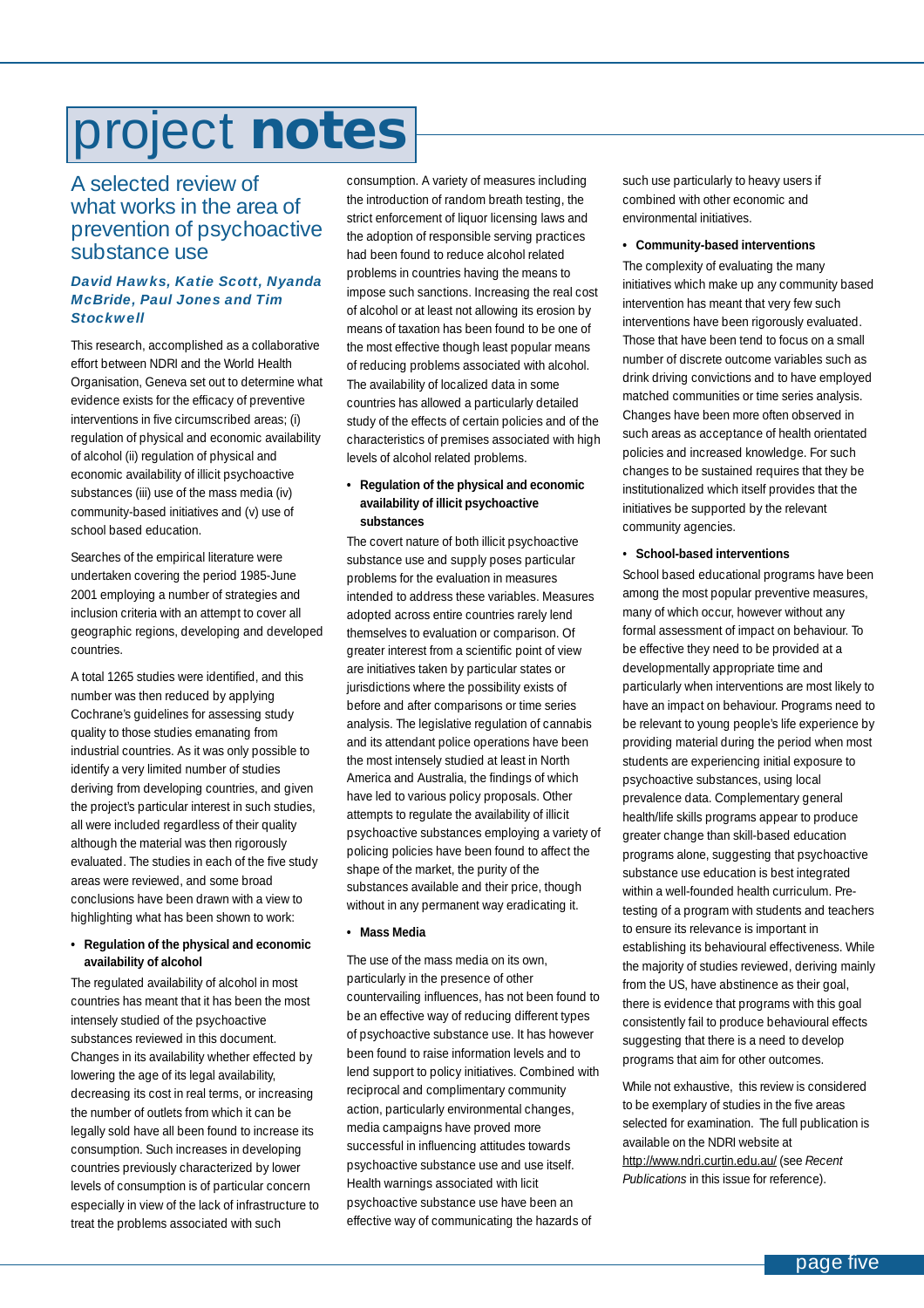# <span id="page-4-0"></span>project **notes**

### A selected review of what works in the area of prevention of psychoactive substance use

### *David Hawks, Katie Scott, Nyanda McBride, Paul Jones and Tim Stockwell*

This research, accomplished as a collaborative effort between NDRI and the World Health Organisation, Geneva set out to determine what evidence exists for the efficacy of preventive interventions in five circumscribed areas; (i) regulation of physical and economic availability of alcohol (ii) regulation of physical and economic availability of illicit psychoactive substances (iii) use of the mass media (iv) community-based initiatives and (v) use of school based education.

Searches of the empirical literature were undertaken covering the period 1985-June 2001 employing a number of strategies and inclusion criteria with an attempt to cover all geographic regions, developing and developed countries.

A total 1265 studies were identified, and this number was then reduced by applying Cochrane's guidelines for assessing study quality to those studies emanating from industrial countries. As it was only possible to identify a very limited number of studies deriving from developing countries, and given the project's particular interest in such studies, all were included regardless of their quality although the material was then rigorously evaluated. The studies in each of the five study areas were reviewed, and some broad conclusions have been drawn with a view to highlighting what has been shown to work:

#### **• Regulation of the physical and economic availability of alcohol**

The regulated availability of alcohol in most countries has meant that it has been the most intensely studied of the psychoactive substances reviewed in this document. Changes in its availability whether effected by lowering the age of its legal availability, decreasing its cost in real terms, or increasing the number of outlets from which it can be legally sold have all been found to increase its consumption. Such increases in developing countries previously characterized by lower levels of consumption is of particular concern especially in view of the lack of infrastructure to treat the problems associated with such

consumption. A variety of measures including the introduction of random breath testing, the strict enforcement of liquor licensing laws and the adoption of responsible serving practices had been found to reduce alcohol related problems in countries having the means to impose such sanctions. Increasing the real cost of alcohol or at least not allowing its erosion by means of taxation has been found to be one of the most effective though least popular means of reducing problems associated with alcohol. The availability of localized data in some countries has allowed a particularly detailed study of the effects of certain policies and of the characteristics of premises associated with high levels of alcohol related problems.

### **• Regulation of the physical and economic availability of illicit psychoactive substances**

The covert nature of both illicit psychoactive substance use and supply poses particular problems for the evaluation in measures intended to address these variables. Measures adopted across entire countries rarely lend themselves to evaluation or comparison. Of greater interest from a scientific point of view are initiatives taken by particular states or jurisdictions where the possibility exists of before and after comparisons or time series analysis. The legislative regulation of cannabis and its attendant police operations have been the most intensely studied at least in North America and Australia, the findings of which have led to various policy proposals. Other attempts to regulate the availability of illicit psychoactive substances employing a variety of policing policies have been found to affect the shape of the market, the purity of the substances available and their price, though without in any permanent way eradicating it.

### **• Mass Media**

The use of the mass media on its own, particularly in the presence of other countervailing influences, has not been found to be an effective way of reducing different types of psychoactive substance use. It has however been found to raise information levels and to lend support to policy initiatives. Combined with reciprocal and complimentary community action, particularly environmental changes, media campaigns have proved more successful in influencing attitudes towards psychoactive substance use and use itself. Health warnings associated with licit psychoactive substance use have been an effective way of communicating the hazards of

such use particularly to heavy users if combined with other economic and environmental initiatives.

#### **• Community-based interventions**

The complexity of evaluating the many initiatives which make up any community based intervention has meant that very few such interventions have been rigorously evaluated. Those that have been tend to focus on a small number of discrete outcome variables such as drink driving convictions and to have employed matched communities or time series analysis. Changes have been more often observed in such areas as acceptance of health orientated policies and increased knowledge. For such changes to be sustained requires that they be institutionalized which itself provides that the initiatives be supported by the relevant community agencies.

#### • **School-based interventions**

School based educational programs have been among the most popular preventive measures, many of which occur, however without any formal assessment of impact on behaviour. To be effective they need to be provided at a developmentally appropriate time and particularly when interventions are most likely to have an impact on behaviour. Programs need to be relevant to young people's life experience by providing material during the period when most students are experiencing initial exposure to psychoactive substances, using local prevalence data. Complementary general health/life skills programs appear to produce greater change than skill-based education programs alone, suggesting that psychoactive substance use education is best integrated within a well-founded health curriculum. Pretesting of a program with students and teachers to ensure its relevance is important in establishing its behavioural effectiveness. While the majority of studies reviewed, deriving mainly from the US, have abstinence as their goal, there is evidence that programs with this goal consistently fail to produce behavioural effects suggesting that there is a need to develop programs that aim for other outcomes.

While not exhaustive, this review is considered to be exemplary of studies in the five areas selected for examination. The full publication is available on the NDRI website at http://www.ndri.curtin.edu.au/ (see *Recent Publications* in this issue for reference).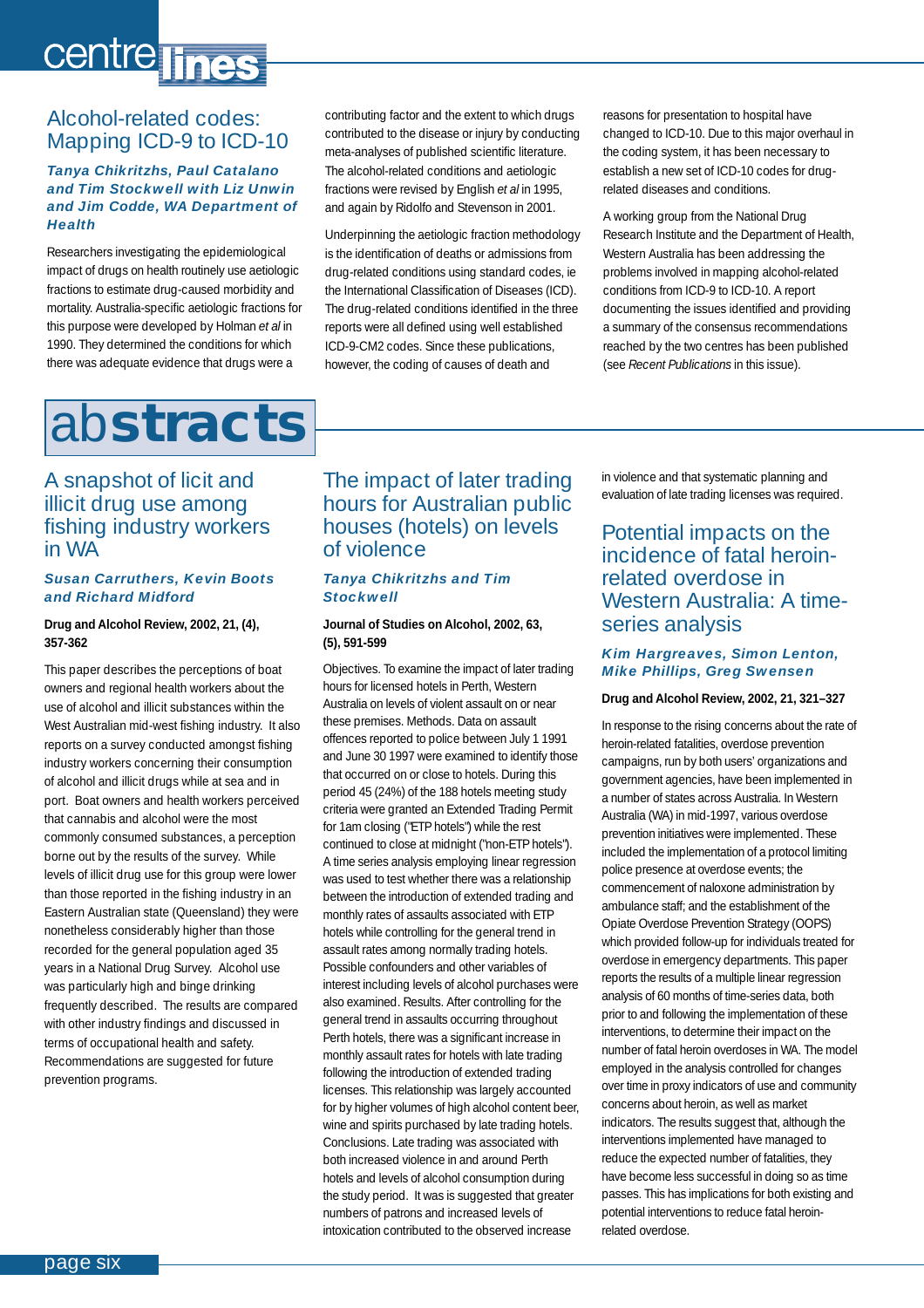# <span id="page-5-0"></span>centre lines

### Alcohol-related codes: Mapping ICD-9 to ICD-10

### *Tanya Chikritzhs, Paul Catalano and Tim Stockwell with Liz Unwin and Jim Codde, WA Department of Health*

Researchers investigating the epidemiological impact of drugs on health routinely use aetiologic fractions to estimate drug-caused morbidity and mortality. Australia-specific aetiologic fractions for this purpose were developed by Holman *et al* in 1990. They determined the conditions for which there was adequate evidence that drugs were a

contributing factor and the extent to which drugs contributed to the disease or injury by conducting meta-analyses of published scientific literature. The alcohol-related conditions and aetiologic fractions were revised by English *et al* in 1995, and again by Ridolfo and Stevenson in 2001.

Underpinning the aetiologic fraction methodology is the identification of deaths or admissions from drug-related conditions using standard codes, ie the International Classification of Diseases (ICD). The drug-related conditions identified in the three reports were all defined using well established ICD-9-CM2 codes. Since these publications, however, the coding of causes of death and

reasons for presentation to hospital have changed to ICD-10. Due to this major overhaul in the coding system, it has been necessary to establish a new set of ICD-10 codes for drugrelated diseases and conditions.

A working group from the National Drug Research Institute and the Department of Health, Western Australia has been addressing the problems involved in mapping alcohol-related conditions from ICD-9 to ICD-10. A report documenting the issues identified and providing a summary of the consensus recommendations reached by the two centres has been published (see *Recent Publications* in this issue).

## ab**stracts**

### A snapshot of licit and illicit drug use among fishing industry workers in WA

### *Susan Carruthers, Kevin Boots and Richard Midford*

### **Drug and Alcohol Review, 2002, 21, (4), 357-362**

This paper describes the perceptions of boat owners and regional health workers about the use of alcohol and illicit substances within the West Australian mid-west fishing industry. It also reports on a survey conducted amongst fishing industry workers concerning their consumption of alcohol and illicit drugs while at sea and in port. Boat owners and health workers perceived that cannabis and alcohol were the most commonly consumed substances, a perception borne out by the results of the survey. While levels of illicit drug use for this group were lower than those reported in the fishing industry in an Eastern Australian state (Queensland) they were nonetheless considerably higher than those recorded for the general population aged 35 years in a National Drug Survey. Alcohol use was particularly high and binge drinking frequently described. The results are compared with other industry findings and discussed in terms of occupational health and safety. Recommendations are suggested for future prevention programs.

### The impact of later trading hours for Australian public houses (hotels) on levels of violence

### *Tanya Chikritzhs and Tim Stockwell*

### **Journal of Studies on Alcohol, 2002, 63, (5), 591-599**

Objectives. To examine the impact of later trading hours for licensed hotels in Perth, Western Australia on levels of violent assault on or near these premises. Methods. Data on assault offences reported to police between July 1 1991 and June 30 1997 were examined to identify those that occurred on or close to hotels. During this period 45 (24%) of the 188 hotels meeting study criteria were granted an Extended Trading Permit for 1am closing ("ETP hotels") while the rest continued to close at midnight ("non-ETP hotels"). A time series analysis employing linear regression was used to test whether there was a relationship between the introduction of extended trading and monthly rates of assaults associated with ETP hotels while controlling for the general trend in assault rates among normally trading hotels. Possible confounders and other variables of interest including levels of alcohol purchases were also examined. Results. After controlling for the general trend in assaults occurring throughout Perth hotels, there was a significant increase in monthly assault rates for hotels with late trading following the introduction of extended trading licenses. This relationship was largely accounted for by higher volumes of high alcohol content beer, wine and spirits purchased by late trading hotels. Conclusions. Late trading was associated with both increased violence in and around Perth hotels and levels of alcohol consumption during the study period. It was is suggested that greater numbers of patrons and increased levels of intoxication contributed to the observed increase

in violence and that systematic planning and evaluation of late trading licenses was required.

### Potential impacts on the incidence of fatal heroinrelated overdose in Western Australia: A timeseries analysis

### *Kim Hargreaves, Simon Lenton, Mike Phillips, Greg Swensen*

### **Drug and Alcohol Review, 2002, 21, 321–327**

In response to the rising concerns about the rate of heroin-related fatalities, overdose prevention campaigns, run by both users' organizations and government agencies, have been implemented in a number of states across Australia. In Western Australia (WA) in mid-1997, various overdose prevention initiatives were implemented. These included the implementation of a protocol limiting police presence at overdose events; the commencement of naloxone administration by ambulance staff; and the establishment of the Opiate Overdose Prevention Strategy (OOPS) which provided follow-up for individuals treated for overdose in emergency departments. This paper reports the results of a multiple linear regression analysis of 60 months of time-series data, both prior to and following the implementation of these interventions, to determine their impact on the number of fatal heroin overdoses in WA. The model employed in the analysis controlled for changes over time in proxy indicators of use and community concerns about heroin, as well as market indicators. The results suggest that, although the interventions implemented have managed to reduce the expected number of fatalities, they have become less successful in doing so as time passes. This has implications for both existing and potential interventions to reduce fatal heroinrelated overdose.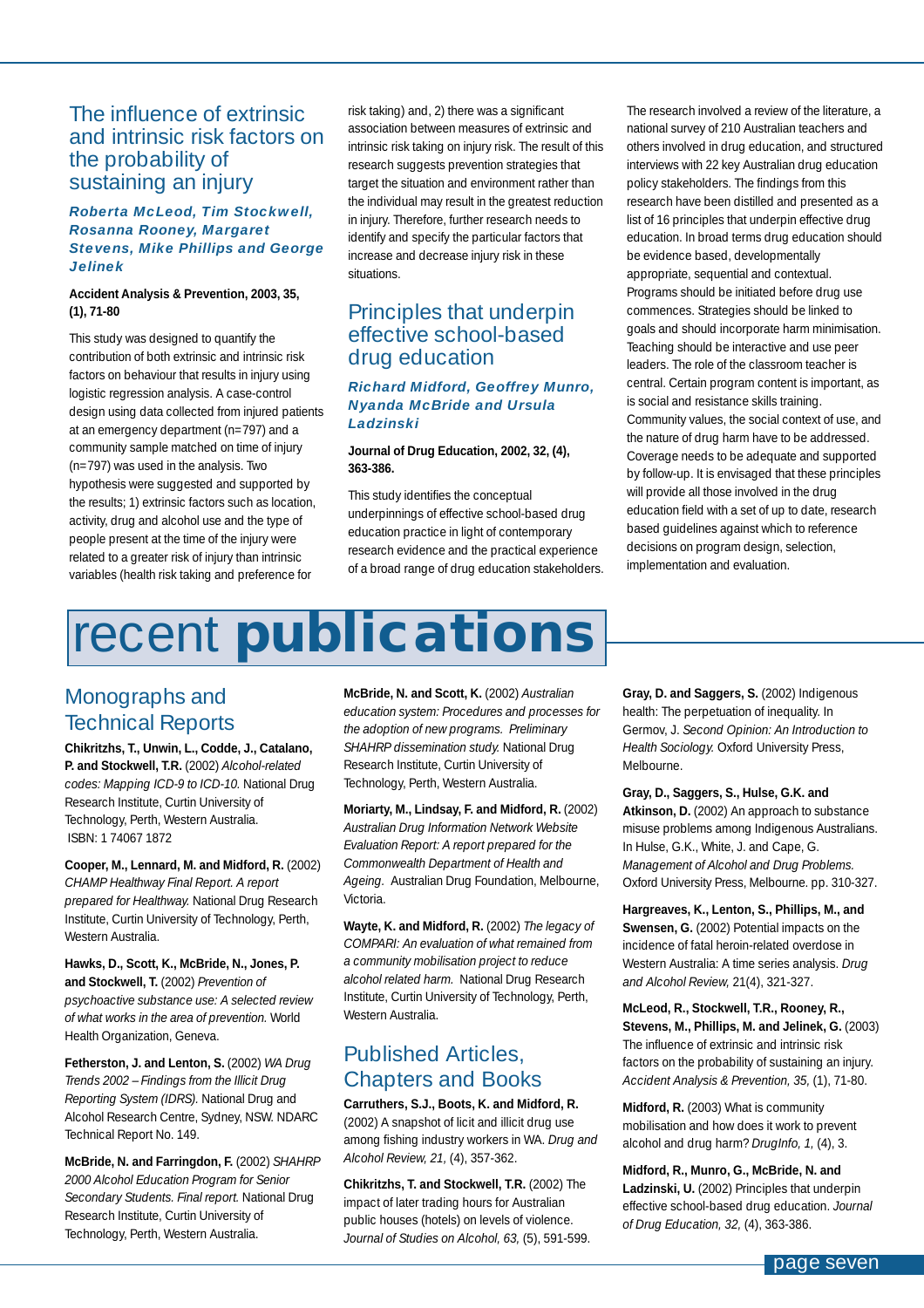### <span id="page-6-0"></span>The influence of extrinsic and intrinsic risk factors on the probability of sustaining an injury

### *Roberta McLeod, Tim Stockwell, Rosanna Rooney, Margaret Stevens, Mike Phillips and George Jelinek*

### **Accident Analysis & Prevention, 2003, 35, (1), 71-80**

This study was designed to quantify the contribution of both extrinsic and intrinsic risk factors on behaviour that results in injury using logistic regression analysis. A case-control design using data collected from injured patients at an emergency department (n=797) and a community sample matched on time of injury (n=797) was used in the analysis. Two hypothesis were suggested and supported by the results; 1) extrinsic factors such as location, activity, drug and alcohol use and the type of people present at the time of the injury were related to a greater risk of injury than intrinsic variables (health risk taking and preference for

risk taking) and, 2) there was a significant association between measures of extrinsic and intrinsic risk taking on injury risk. The result of this research suggests prevention strategies that target the situation and environment rather than the individual may result in the greatest reduction in injury. Therefore, further research needs to identify and specify the particular factors that increase and decrease injury risk in these situations.

### Principles that underpin effective school-based drug education

### *Richard Midford, Geoffrey Munro, Nyanda McBride and Ursula Ladzinski*

### **Journal of Drug Education, 2002, 32, (4), 363-386.**

This study identifies the conceptual underpinnings of effective school-based drug education practice in light of contemporary research evidence and the practical experience of a broad range of drug education stakeholders.

The research involved a review of the literature, a national survey of 210 Australian teachers and others involved in drug education, and structured interviews with 22 key Australian drug education policy stakeholders. The findings from this research have been distilled and presented as a list of 16 principles that underpin effective drug education. In broad terms drug education should be evidence based, developmentally appropriate, sequential and contextual. Programs should be initiated before drug use commences. Strategies should be linked to goals and should incorporate harm minimisation. Teaching should be interactive and use peer leaders. The role of the classroom teacher is central. Certain program content is important, as is social and resistance skills training. Community values, the social context of use, and the nature of drug harm have to be addressed. Coverage needs to be adequate and supported by follow-up. It is envisaged that these principles will provide all those involved in the drug education field with a set of up to date, research based guidelines against which to reference decisions on program design, selection, implementation and evaluation.

# recent **publications**

### Monographs and Technical Reports

**Chikritzhs, T., Unwin, L., Codde, J., Catalano, P. and Stockwell, T.R.** (2002) *Alcohol-related codes: Mapping ICD-9 to ICD-10.* National Drug Research Institute, Curtin University of Technology, Perth, Western Australia. ISBN: 1 74067 1872

**Cooper, M., Lennard, M. and Midford, R.** (2002) *CHAMP Healthway Final Report. A report prepared for Healthway.* National Drug Research Institute, Curtin University of Technology, Perth, Western Australia.

**Hawks, D., Scott, K., McBride, N., Jones, P. and Stockwell, T.** (2002) *Prevention of psychoactive substance use: A selected review of what works in the area of prevention.* World Health Organization, Geneva.

**Fetherston, J. and Lenton, S.** (2002) *WA Drug Trends 2002 – Findings from the Illicit Drug Reporting System (IDRS).* National Drug and Alcohol Research Centre, Sydney, NSW. NDARC Technical Report No. 149.

**McBride, N. and Farringdon, F.** (2002) *SHAHRP 2000 Alcohol Education Program for Senior Secondary Students. Final report.* National Drug Research Institute, Curtin University of Technology, Perth, Western Australia.

**McBride, N. and Scott, K.** (2002) *Australian education system: Procedures and processes for the adoption of new programs. Preliminary SHAHRP dissemination study.* National Drug Research Institute, Curtin University of Technology, Perth, Western Australia.

**Moriarty, M., Lindsay, F. and Midford, R.** (2002) *Australian Drug Information Network Website Evaluation Report: A report prepared for the Commonwealth Department of Health and Ageing.* Australian Drug Foundation, Melbourne, Victoria.

**Wayte, K. and Midford, R.** (2002) *The legacy of COMPARI: An evaluation of what remained from a community mobilisation project to reduce alcohol related harm.* National Drug Research Institute, Curtin University of Technology, Perth, Western Australia.

### Published Articles, Chapters and Books

**Carruthers, S.J., Boots, K. and Midford, R.** (2002) A snapshot of licit and illicit drug use among fishing industry workers in WA. *Drug and Alcohol Review, 21,* (4), 357-362.

**Chikritzhs, T. and Stockwell, T.R.** (2002) The impact of later trading hours for Australian public houses (hotels) on levels of violence. *Journal of Studies on Alcohol, 63,* (5), 591-599. Gray, D. and Saggers, S. (2002) Indigenous health: The perpetuation of inequality. In Germov, J. *Second Opinion: An Introduction to Health Sociology.* Oxford University Press, Melbourne.

**Gray, D., Saggers, S., Hulse, G.K. and Atkinson, D.** (2002) An approach to substance misuse problems among Indigenous Australians. In Hulse, G.K., White, J. and Cape, G. *Management of Alcohol and Drug Problems.* Oxford University Press, Melbourne. pp. 310-327.

**Hargreaves, K., Lenton, S., Phillips, M., and Swensen, G.** (2002) Potential impacts on the incidence of fatal heroin-related overdose in Western Australia: A time series analysis. *Drug and Alcohol Review,* 21(4), 321-327.

**McLeod, R., Stockwell, T.R., Rooney, R., Stevens, M., Phillips, M. and Jelinek, G.** (2003) The influence of extrinsic and intrinsic risk factors on the probability of sustaining an injury. *Accident Analysis & Prevention, 35,* (1), 71-80.

**Midford, R.** (2003) What is community mobilisation and how does it work to prevent alcohol and drug harm? *DrugInfo, 1,* (4), 3.

**Midford, R., Munro, G., McBride, N. and Ladzinski, U.** (2002) Principles that underpin effective school-based drug education. *Journal of Drug Education, 32,* (4), 363-386.